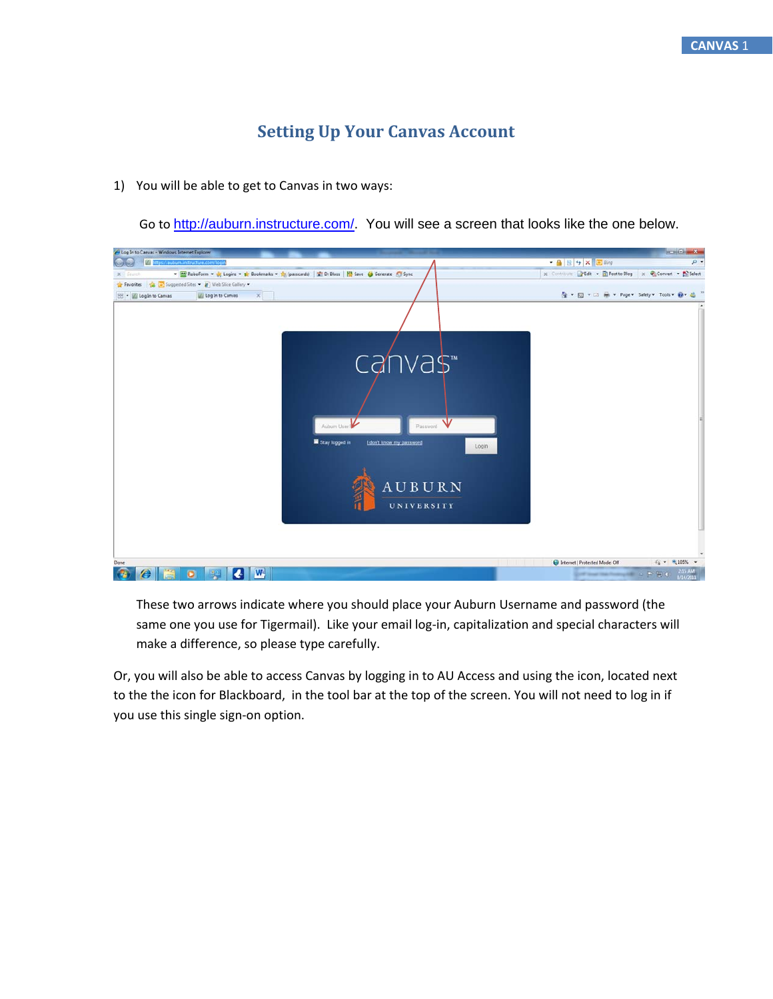## **Setting Up Your Canvas Account**

1) You will be able to get to Canvas in two ways:

Go to http://auburn.instructure.com/. You will see a screen that looks like the one below.

| - 4 B + × 2 Bing<br>F/I https://aubum.instructure.com/logi<br>$p$ -<br>x Contribute PEdit . El Post to Blog x Convert . El Select<br>- RoboForm - St Logins - St Bookmarks - St (passcards)   T Dr Bloss   N Save (3 Generate 6 Sync<br>$\times$<br>G * 回 * □ 嘛 * Page * Safety * Tools * @ * 起<br>Log In to Canvas<br>canvas <sup>-</sup><br>Aubum User<br>Ⅴ<br>Password<br>Stay logged in<br>I don't know my password<br>Login<br>AUBURN<br>UNIVERSITY<br>$\frac{1}{10}$ = $\frac{105\%}{105\%}$ =<br>Internet   Protected Mode: Off<br>$\mathbf{w}$<br>$245AM$<br>8/14/2011<br>$\overline{\cdot}$<br>$\mathbb{R} \times \mathbb{R}^p \times \mathbb{R}^p \times \mathbb{R}^p$<br>o | Log In to Canuas - Windows Internet Explorer      | <b>CONG MACHINE</b> |
|---------------------------------------------------------------------------------------------------------------------------------------------------------------------------------------------------------------------------------------------------------------------------------------------------------------------------------------------------------------------------------------------------------------------------------------------------------------------------------------------------------------------------------------------------------------------------------------------------------------------------------------------------------------------------------------|---------------------------------------------------|---------------------|
|                                                                                                                                                                                                                                                                                                                                                                                                                                                                                                                                                                                                                                                                                       |                                                   |                     |
|                                                                                                                                                                                                                                                                                                                                                                                                                                                                                                                                                                                                                                                                                       | X is a store                                      |                     |
|                                                                                                                                                                                                                                                                                                                                                                                                                                                                                                                                                                                                                                                                                       | Payonites & Copperted Sites . 2 Web Slice Gallery |                     |
|                                                                                                                                                                                                                                                                                                                                                                                                                                                                                                                                                                                                                                                                                       | <b>BB - Elegin to Canvas</b>                      |                     |
|                                                                                                                                                                                                                                                                                                                                                                                                                                                                                                                                                                                                                                                                                       | Done                                              |                     |
|                                                                                                                                                                                                                                                                                                                                                                                                                                                                                                                                                                                                                                                                                       |                                                   |                     |

These two arrows indicate where you should place your Auburn Username and password (the same one you use for Tigermail). Like your email log-in, capitalization and special characters will make a difference, so please type carefully.

Or, you will also be able to access Canvas by logging in to AU Access and using the icon, located next to the the icon for Blackboard, in the tool bar at the top of the screen. You will not need to log in if you use this single sign‐on option.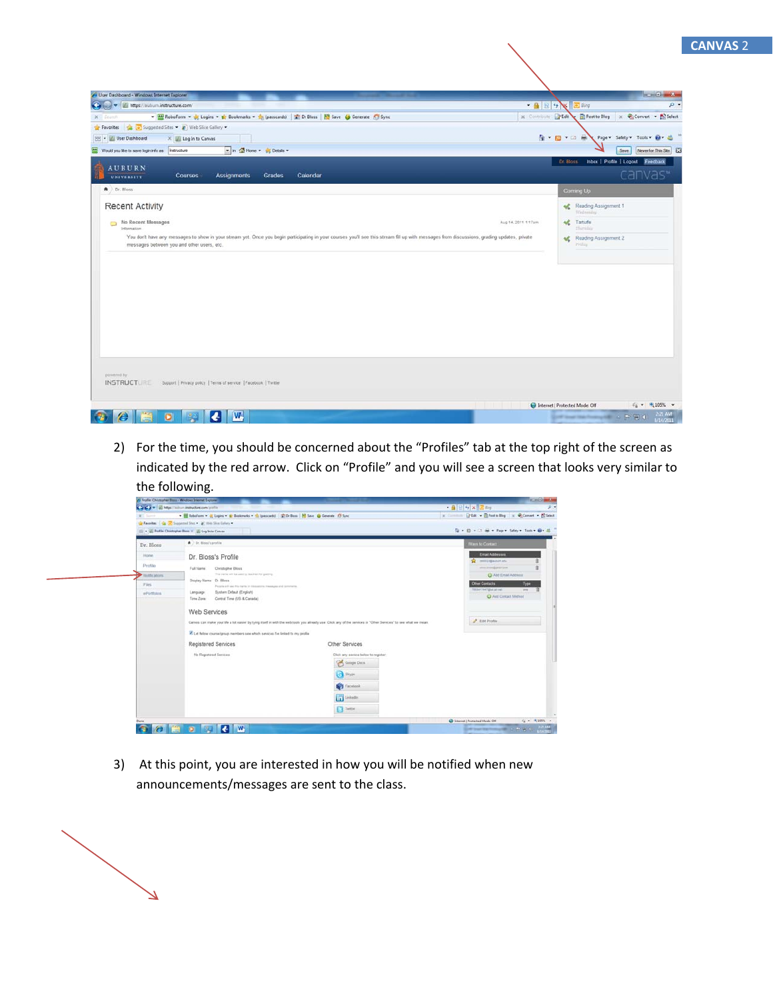| User Dashboard - Windows Internet Explorer                                                                                                                                                                                                                                                                                                                                                                                               | <b>REAL AND</b>                                                                                             |
|------------------------------------------------------------------------------------------------------------------------------------------------------------------------------------------------------------------------------------------------------------------------------------------------------------------------------------------------------------------------------------------------------------------------------------------|-------------------------------------------------------------------------------------------------------------|
| $ \frac{1}{2}$ $\frac{1}{2}$ $\frac{1}{2}$<br>(C) (e) v di https://auburn.instructure.com/                                                                                                                                                                                                                                                                                                                                               | $p$ -<br>a Bing                                                                                             |
| x Committee PEdit<br>RoboForm - St Logins - Bookmarks - St (passcards)   Dr Bloss   N Save (C) Generate C Sync<br>X Starch                                                                                                                                                                                                                                                                                                               | Post to Blog x Convert v ES Select                                                                          |
| Congressed Sites . 27 Web Slice Gallery<br>Favorites                                                                                                                                                                                                                                                                                                                                                                                     |                                                                                                             |
| 88 - V User Dashboard<br>X Log In to Canvas                                                                                                                                                                                                                                                                                                                                                                                              | 自一回て口座<br>Page v Safety v Tools v 8 v 8                                                                     |
| n & Home + 35 Details +<br>▣<br>Would you like to save login info as: Instructure                                                                                                                                                                                                                                                                                                                                                        | Save<br>Never for This Site                                                                                 |
| <b>AUBURN</b><br>Assignments<br><b>Courses</b><br>Grades<br>Calendar<br><b>UNIVERSITY</b>                                                                                                                                                                                                                                                                                                                                                | Inbox   Profile   Logout Feedback<br>Dr. Bloss<br>canvas"                                                   |
| A Dr. Bloss                                                                                                                                                                                                                                                                                                                                                                                                                              | Coming Up                                                                                                   |
| <b>Recent Activity</b><br>No Recent Messages<br>Aug 14, 2011 1:17am<br>Information<br>You don't have any messages to show in your stream yet. Once you begin participating in your courses you'll see this stream fill up with messages from discussions, grading updates, private<br>messages between you and other users, etc.<br>powered by<br><b>INSTRUCTURE</b><br>Support   Privacy policy   Terms of service   Facebook   Twitter | Reading Assignment 1<br>Wednesday<br><b>AC</b> Tartuffe<br><b>Huming</b><br>Reading Assignment 2<br>Priday. |
|                                                                                                                                                                                                                                                                                                                                                                                                                                          | $\frac{1}{10}$ = $\frac{9}{105\%}$ =<br>Internet   Protected Mode: Off                                      |
| $\mathbf{w}$<br>o<br>$\bullet$                                                                                                                                                                                                                                                                                                                                                                                                           | 2/21 AM<br>$-1990$<br>1/14/201                                                                              |

2) For the time, you should be concerned about the "Profiles" tab at the top right of the screen as indicated by the red arrow. Click on "Profile" and you will see a screen that looks very similar to the following.

| A Folly Drubpher Bros. Wedges Immer Econo-<br>Ca Ca v   El Mgs   silon inductan con (mille) |                                                                                                                                           | <b>RESIDENCE</b><br>+ 4 日 5 × 正 mg<br>$B -$                                                                                                                   |                                                |                 |
|---------------------------------------------------------------------------------------------|-------------------------------------------------------------------------------------------------------------------------------------------|---------------------------------------------------------------------------------------------------------------------------------------------------------------|------------------------------------------------|-----------------|
| W.T. Same                                                                                   | - El Roboform - o Llegen - ar Boskmarks - an Ipanicardd   27 D Blass   10 Seve   Clevente   Cl Sync                                       |                                                                                                                                                               | x firman Didd . EPostalloy x @Conset . Elisent |                 |
|                                                                                             | Personal   Co. Supported Sites . (2) Web Sites Gallery v.<br>- El Profile Christopher Bloss - El Log Into Canvas                          |                                                                                                                                                               | 位· 位·二 单· hpr Sdey Tool · O- d                 |                 |
| Dr. Bloss                                                                                   | A c. tiou's and/or                                                                                                                        |                                                                                                                                                               | Ways to Contact                                |                 |
| <b>Home</b>                                                                                 | Dr. Bloss's Profile                                                                                                                       |                                                                                                                                                               | <b>Email Addresses</b><br>middle big automatic |                 |
| Profile                                                                                     | Full Name:<br>Christopher Bloss                                                                                                           |                                                                                                                                                               | stou interdigent into                          |                 |
| Mobile phoens:<br><b>Firs</b>                                                               | The race will be used to market by pairing.<br>Display Name: Dr. Bloss<br>Pacals will see his rarra in depasitrix meeks as and aprovants. |                                                                                                                                                               | C Add Email Address<br><b>Other Contacts</b>   | Type            |
| ePortfolios                                                                                 | System Detaut (English)<br>Language<br>Time Zone:<br>Central Time (US & Canada)<br>Web Services                                           |                                                                                                                                                               | TRASA CRAFTING ARTIST<br>C Add Contact Method  | <b>WIN</b>      |
|                                                                                             | C Let follow course/group members see which services fire linked to my profile                                                            | Canua can make your life a lot easier by tying itself in with the web tools you already use. Click any of the senices in "Other Senices" to see what we mean. | <b>2</b> Edit Profile:                         |                 |
|                                                                                             | Registered Services                                                                                                                       | Other Services                                                                                                                                                |                                                |                 |
|                                                                                             | No Registered Services                                                                                                                    | Click any service below to register:<br>Georgia Docu<br>S Store<br><b>Carolina</b><br>in Linksda                                                              |                                                |                 |
| Done                                                                                        |                                                                                                                                           | <b>T</b> Tetter                                                                                                                                               | C Internet   Protected Mode: Off               | $x_0 = -0.1055$ |

3) At this point, you are interested in how you will be notified when new announcements/messages are sent to the class.

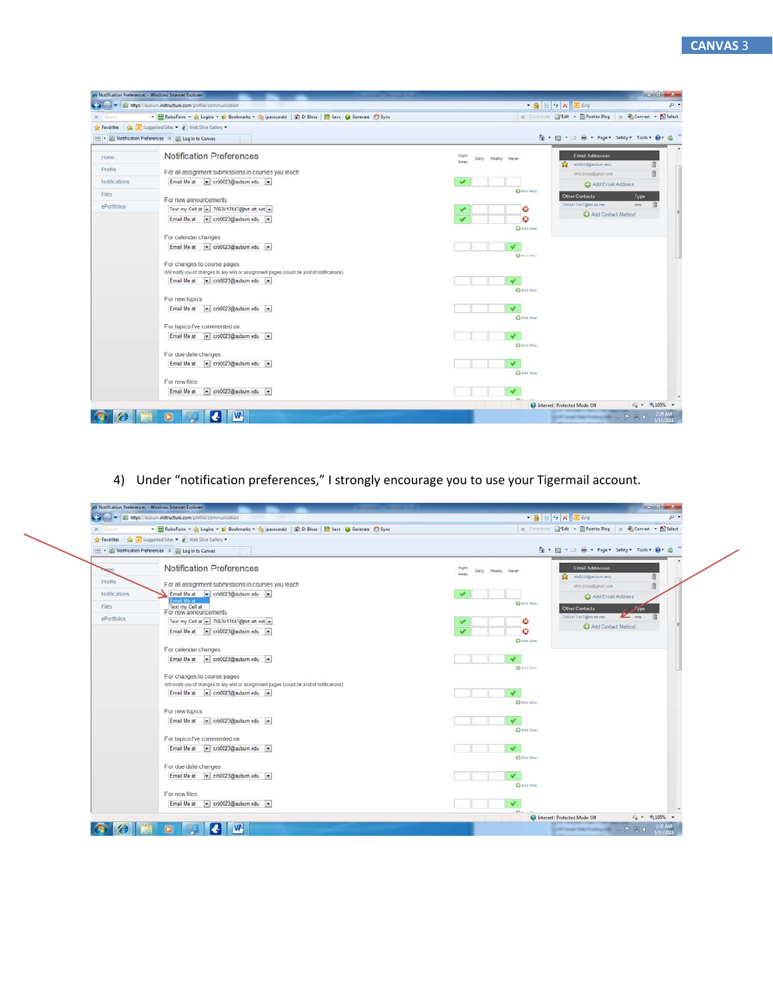|                                                             | Notification Preferences - Windows Internet Explorer                                         | <b>Controller and Server</b>                                                         |  |  |
|-------------------------------------------------------------|----------------------------------------------------------------------------------------------|--------------------------------------------------------------------------------------|--|--|
| A pay v Mags //suburn.instructure.com/profile/communication |                                                                                              | $- 4 1 1 4 1 1 11 11$<br>$p -$                                                       |  |  |
| $X =$ Stato                                                 | RoboForm v or Logins v to Bookmarks v so (passcards) T Dr Bloss   B Save (3 Generate C Sync  | x Contribute PEdit . El Post to Blog x Convert . El Select                           |  |  |
| Favorites                                                   | Suggested Sites . 2 Web Slice Gallery                                                        |                                                                                      |  |  |
|                                                             | 88 - A Notification Preferences X A Log In to Canvas                                         | G ▼ 回 ▼ □ M ▼ Page ▼ Safety ▼ Tools ▼ 四 ▼ 品                                          |  |  |
| <b>Home</b>                                                 | Notification Preferences                                                                     | <b>Email Addresses</b><br>Right<br>Daily<br>Weekly Never<br>Away<br>ob0023@mibum.edu |  |  |
| Profile                                                     | For all assignment submissions in courses you teach                                          | shrip Bizzidigmail.com                                                               |  |  |
| <b>Notifications</b>                                        | Email Me at el crb0023@auburn.edu =                                                          | Add Email Address                                                                    |  |  |
| Files                                                       | For new announcements                                                                        | <b>O</b> And Also<br><b>Other Contacts</b><br>Type                                   |  |  |
| ePortfolios                                                 | Text my Cell at $-$ 7063417447@txt.att.net $-$                                               | 7083417447@tot.att.net<br>sms:<br>ø                                                  |  |  |
|                                                             | Email Me at * crb0023@auburn.edu *                                                           | Add Contact Method<br>ø                                                              |  |  |
|                                                             | For calendar changes                                                                         | C Ans Also.                                                                          |  |  |
|                                                             | crb0023@auburn.edu<br>Email Me at                                                            |                                                                                      |  |  |
|                                                             |                                                                                              | <b>CO</b> And Abus.                                                                  |  |  |
|                                                             | For changes to course pages                                                                  |                                                                                      |  |  |
|                                                             | Will notify you of changes to any wiki or assignment pages (could be a lot of notifications) |                                                                                      |  |  |
|                                                             | $\boxed{\bullet}$ crb0023@auburn edu $\rightarrow$<br>Email Me at                            |                                                                                      |  |  |
|                                                             | For new topics                                                                               | C And Also                                                                           |  |  |
|                                                             | $\left  \frac{1}{2} \right $ crb0023@auburn edu =<br>Email Me at                             |                                                                                      |  |  |
|                                                             |                                                                                              | C And Also                                                                           |  |  |
|                                                             | For topics I've commented on                                                                 |                                                                                      |  |  |
|                                                             | crb0023@auburn.edu .<br>Email Me at                                                          |                                                                                      |  |  |
|                                                             |                                                                                              | <b>Child Also</b>                                                                    |  |  |
|                                                             | For due date changes                                                                         |                                                                                      |  |  |
|                                                             | Email Me at v crb0023@auburn.edu v                                                           |                                                                                      |  |  |
|                                                             | For new files                                                                                | Chang Also                                                                           |  |  |
|                                                             | crb0023@auburn.edu =<br>Email Me at                                                          |                                                                                      |  |  |
|                                                             |                                                                                              |                                                                                      |  |  |
|                                                             |                                                                                              | $\frac{1}{10}$ = $\frac{105\%}{105\%}$ =<br>Internet   Protected Mode: Off           |  |  |
|                                                             | W.<br>c                                                                                      | 2:29 AM<br>$-12777$<br><b>CALL CALL</b><br>/14/201                                   |  |  |

4) Under "notification preferences," I strongly encourage you to use your Tigermail account.

| www. www.instructure.com/profile/communication                                                          | • 品 日 4 × 区 Bing<br>д.                                                                          |
|---------------------------------------------------------------------------------------------------------|-------------------------------------------------------------------------------------------------|
| RoboForm v & Logins v & Bookmarks v & (passcards) at Dr Bloss   N Save 6 Generate C Sync<br>$X =$ Storo | x Committee of Edit . D Post to Blog x Convert . D Select                                       |
| Suggested Sites . 27 Web Slice Gallery .<br><b>Pavorites</b>                                            |                                                                                                 |
| RE - A Notification Preferences X A Log In to Canvas                                                    | Q ▼ 図 ▼ 二 M ▼ Page ▼ Safety ▼ Tools ▼ Q ▼ 越                                                     |
| Notification Preferences<br>ane.                                                                        | <b>Email Addresses</b><br>Right<br>Daily Weekly Never<br>Away<br>ab0023@mibum.edu               |
| Profile<br>For all assignment submissions in courses you teach                                          | shrip Bizzidigmail.com                                                                          |
| <b>Notifications</b><br>Email Me at - crb0023@auburn.edu -                                              | C Add Email Address                                                                             |
| te aM linn<br>Text my Cell at<br>Files:<br>For new announcements                                        | C And Also<br>Other Contacts<br>سيمر                                                            |
| ePortfolios<br>Text my Cell at - 7063417447@bd.att.net -                                                | 7083417447@tet.att.net<br>K<br>ø                                                                |
| Email Me at ~ crb0023@auburn.edu ~                                                                      | Add Contact Method<br>o<br>C And Also                                                           |
| For calendar changes                                                                                    |                                                                                                 |
| Email Me at ~ crb0023@auburn.edu ~                                                                      | <b>CO</b> And Abia                                                                              |
| For changes to course pages                                                                             |                                                                                                 |
| Will notify you of changes to any wiki or assignment pages (could be a lot of notifications)            |                                                                                                 |
| Email Me at et crb0023@auburn edu                                                                       |                                                                                                 |
|                                                                                                         | C And Also                                                                                      |
| For new topics                                                                                          |                                                                                                 |
| Email Me at $\left  \frac{1}{2} \right $ crb0023@auburn edu =                                           | C And Also                                                                                      |
| For topics I've commented on                                                                            |                                                                                                 |
| Email Me at - crb0023@auburn.edu -                                                                      | <b>China</b> Also                                                                               |
| For due date changes                                                                                    |                                                                                                 |
| Email Me at v crb0023@auburn.edu v                                                                      |                                                                                                 |
| For new files                                                                                           | C And Also                                                                                      |
| Email Me at<br>- crb0023@auburn.edu -                                                                   |                                                                                                 |
|                                                                                                         |                                                                                                 |
| W.                                                                                                      | $\frac{1}{10}$ v $\frac{105\%}{105\%}$ v<br>Internet   Protected Mode: Off<br>$2.32 \text{ AM}$ |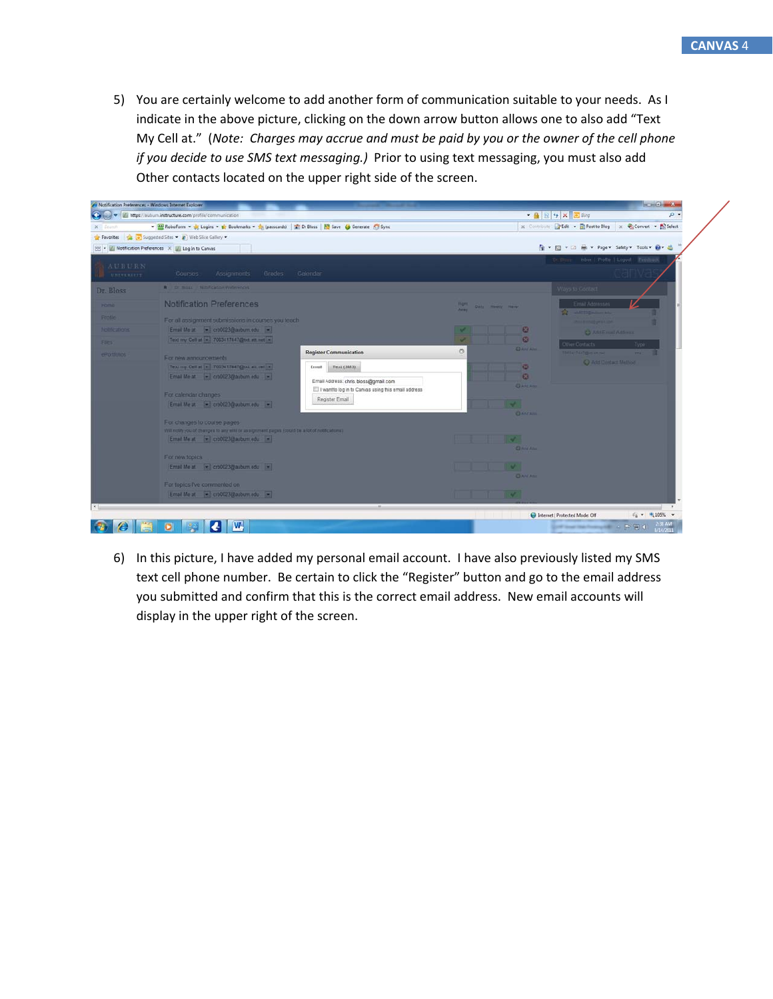5) You are certainly welcome to add another form of communication suitable to your needs. As I indicate in the above picture, clicking on the down arrow button allows one to also add "Text My Cell at." (*Note: Charges may accrue and must be paid by you or the owner of the cell phone if you decide to use SMS text messaging.)* Prior to using text messaging, you must also add Other contacts located on the upper right side of the screen.



6) In this picture, I have added my personal email account. I have also previously listed my SMS text cell phone number. Be certain to click the "Register" button and go to the email address you submitted and confirm that this is the correct email address. New email accounts will display in the upper right of the screen.